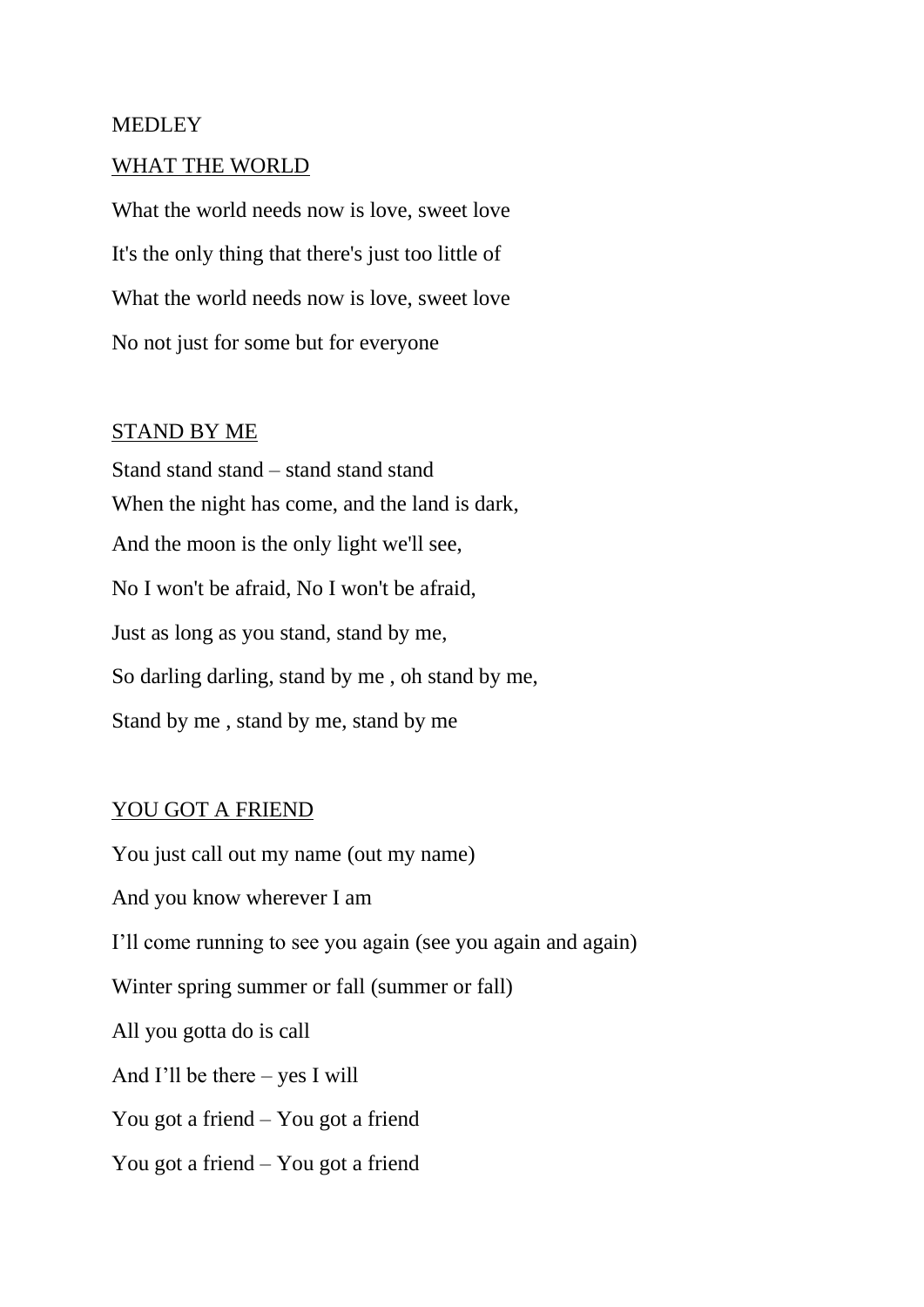# **MEDLEY**

#### WHAT THE WORLD

What the world needs now is love, sweet love It's the only thing that there's just too little of What the world needs now is love, sweet love No not just for some but for everyone

#### STAND BY ME

Stand stand stand – stand stand stand When the night has come, and the land is dark, And the moon is the only light we'll see, No I won't be afraid, No I won't be afraid, Just as long as you stand, stand by me, So darling darling, stand by me , oh stand by me, Stand by me , stand by me, stand by me

### YOU GOT A FRIEND

You just call out my name (out my name) And you know wherever I am I'll come running to see you again (see you again and again) Winter spring summer or fall (summer or fall) All you gotta do is call And I'll be there – yes I will You got a friend – You got a friend You got a friend – You got a friend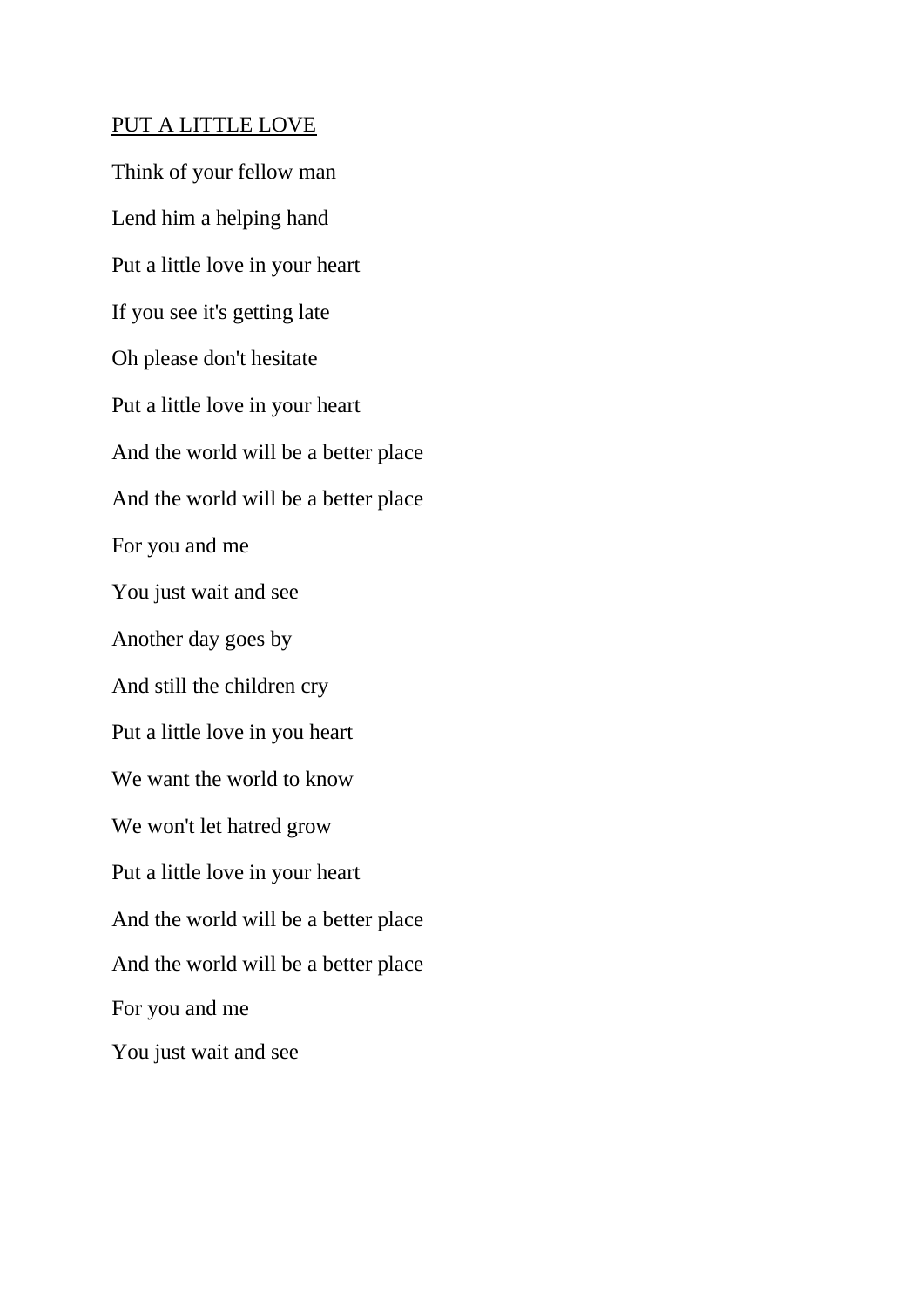## PUT A LITTLE LOVE

Think of your fellow man Lend him a helping hand Put a little love in your heart If you see it's getting late Oh please don't hesitate Put a little love in your heart And the world will be a better place And the world will be a better place For you and me You just wait and see Another day goes by And still the children cry Put a little love in you heart We want the world to know We won't let hatred grow Put a little love in your heart And the world will be a better place And the world will be a better place For you and me You just wait and see